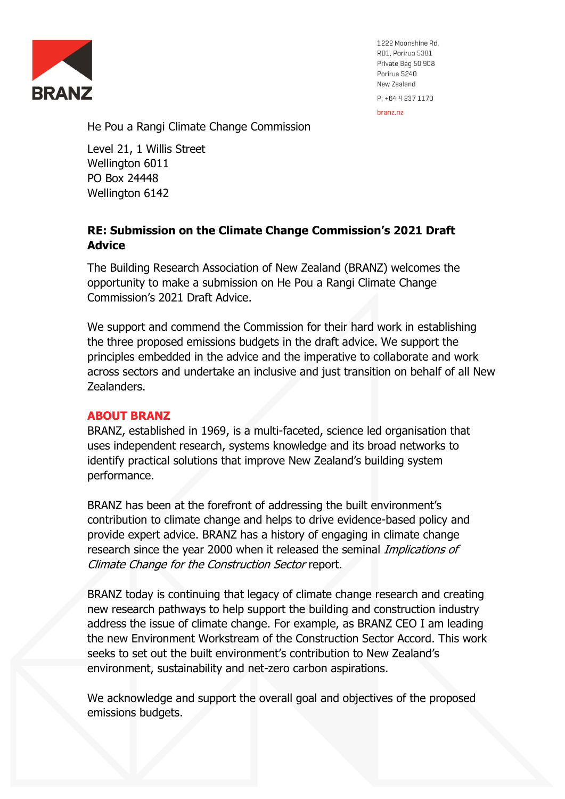

1222 Moonshine Rd, RD1, Porirua 5381 Private Bag 50 908 Porirua 5240 New Zealand P: +64 4 237 1170

hranz nz

He Pou a Rangi Climate Change Commission

Level 21, 1 Willis Street Wellington 6011 PO Box 24448 Wellington 6142

# **RE: Submission on the Climate Change Commission's 2021 Draft Advice**

The Building Research Association of New Zealand (BRANZ) welcomes the opportunity to make a submission on He Pou a Rangi Climate Change Commission's 2021 Draft Advice.

We support and commend the Commission for their hard work in establishing the three proposed emissions budgets in the draft advice. We support the principles embedded in the advice and the imperative to collaborate and work across sectors and undertake an inclusive and just transition on behalf of all New Zealanders.

# **ABOUT BRANZ**

BRANZ, established in 1969, is a multi-faceted, science led organisation that uses independent research, systems knowledge and its broad networks to identify practical solutions that improve New Zealand's building system performance.

BRANZ has been at the forefront of addressing the built environment's contribution to climate change and helps to drive evidence-based policy and provide expert advice. BRANZ has a history of engaging in climate change research since the year 2000 when it released the seminal Implications of Climate Change for the Construction Sector report.

BRANZ today is continuing that legacy of climate change research and creating new research pathways to help support the building and construction industry address the issue of climate change. For example, as BRANZ CEO I am leading the new Environment Workstream of the Construction Sector Accord. This work seeks to set out the built environment's contribution to New Zealand's environment, sustainability and net-zero carbon aspirations.

We acknowledge and support the overall goal and objectives of the proposed emissions budgets.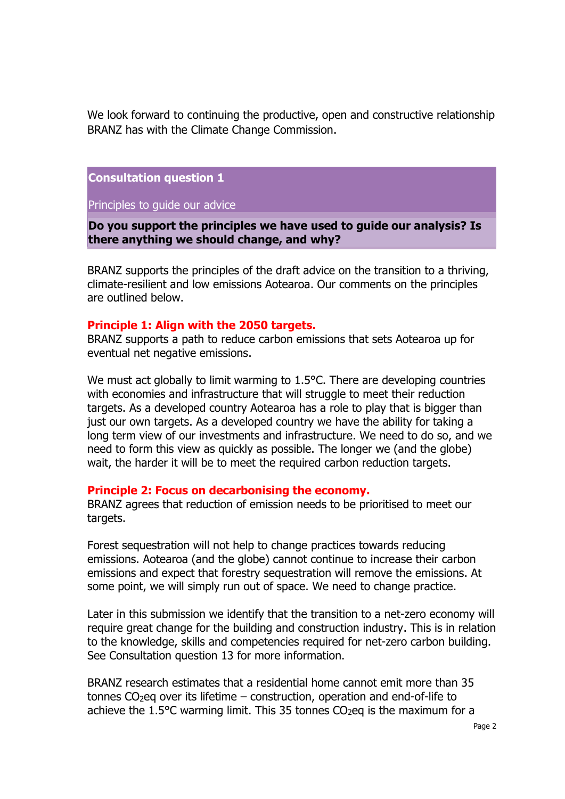We look forward to continuing the productive, open and constructive relationship BRANZ has with the Climate Change Commission.

**Consultation question 1** 

Principles to guide our advice

**Do you support the principles we have used to guide our analysis? Is there anything we should change, and why?** 

BRANZ supports the principles of the draft advice on the transition to a thriving, climate-resilient and low emissions Aotearoa. Our comments on the principles are outlined below.

### **Principle 1: Align with the 2050 targets.**

BRANZ supports a path to reduce carbon emissions that sets Aotearoa up for eventual net negative emissions.

We must act globally to limit warming to 1.5°C. There are developing countries with economies and infrastructure that will struggle to meet their reduction targets. As a developed country Aotearoa has a role to play that is bigger than just our own targets. As a developed country we have the ability for taking a long term view of our investments and infrastructure. We need to do so, and we need to form this view as quickly as possible. The longer we (and the globe) wait, the harder it will be to meet the required carbon reduction targets.

#### **Principle 2: Focus on decarbonising the economy.**

BRANZ agrees that reduction of emission needs to be prioritised to meet our targets.

Forest sequestration will not help to change practices towards reducing emissions. Aotearoa (and the globe) cannot continue to increase their carbon emissions and expect that forestry sequestration will remove the emissions. At some point, we will simply run out of space. We need to change practice.

Later in this submission we identify that the transition to a net-zero economy will require great change for the building and construction industry. This is in relation to the knowledge, skills and competencies required for net-zero carbon building. See Consultation question 13 for more information.

BRANZ research estimates that a residential home cannot emit more than 35 tonnes  $CO<sub>2</sub>$ eq over its lifetime – construction, operation and end-of-life to achieve the 1.5 $\degree$ C warming limit. This 35 tonnes CO<sub>2</sub>eq is the maximum for a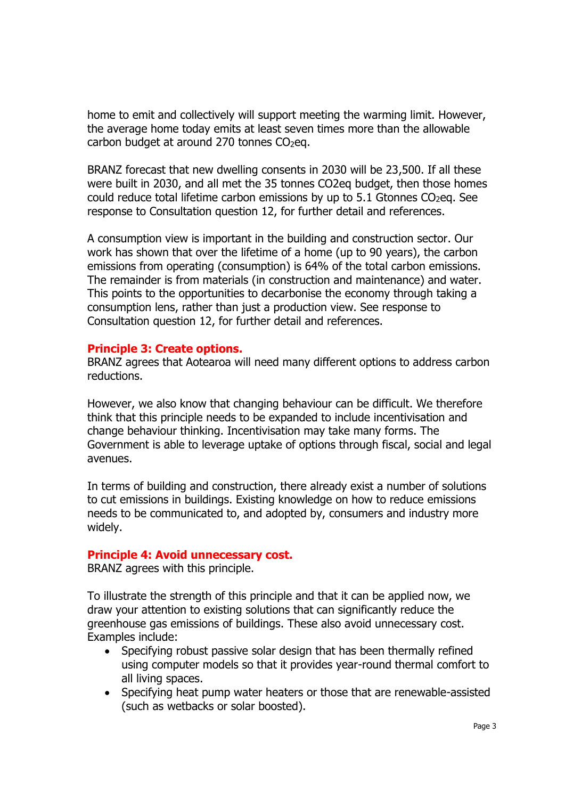home to emit and collectively will support meeting the warming limit. However, the average home today emits at least seven times more than the allowable carbon budget at around  $270$  tonnes  $CO<sub>2</sub>$ eq.

BRANZ forecast that new dwelling consents in 2030 will be 23,500. If all these were built in 2030, and all met the 35 tonnes CO2eq budget, then those homes could reduce total lifetime carbon emissions by up to  $5.1$  Gtonnes CO<sub>2</sub>eq. See response to Consultation question 12, for further detail and references.

A consumption view is important in the building and construction sector. Our work has shown that over the lifetime of a home (up to 90 years), the carbon emissions from operating (consumption) is 64% of the total carbon emissions. The remainder is from materials (in construction and maintenance) and water. This points to the opportunities to decarbonise the economy through taking a consumption lens, rather than just a production view. See response to Consultation question 12, for further detail and references.

## **Principle 3: Create options.**

BRANZ agrees that Aotearoa will need many different options to address carbon reductions.

However, we also know that changing behaviour can be difficult. We therefore think that this principle needs to be expanded to include incentivisation and change behaviour thinking. Incentivisation may take many forms. The Government is able to leverage uptake of options through fiscal, social and legal avenues.

In terms of building and construction, there already exist a number of solutions to cut emissions in buildings. Existing knowledge on how to reduce emissions needs to be communicated to, and adopted by, consumers and industry more widely.

### **Principle 4: Avoid unnecessary cost.**

BRANZ agrees with this principle.

To illustrate the strength of this principle and that it can be applied now, we draw your attention to existing solutions that can significantly reduce the greenhouse gas emissions of buildings. These also avoid unnecessary cost. Examples include:

- Specifying robust passive solar design that has been thermally refined using computer models so that it provides year-round thermal comfort to all living spaces.
- Specifying heat pump water heaters or those that are renewable-assisted (such as wetbacks or solar boosted).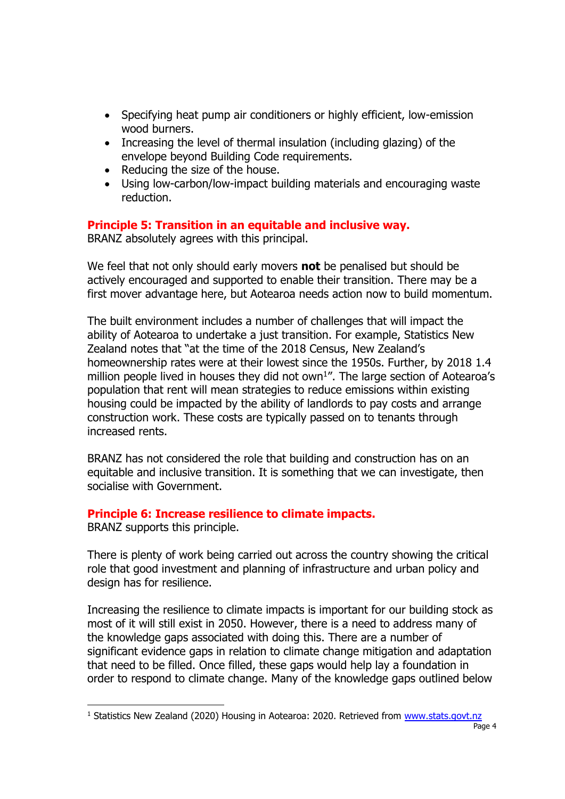- Specifying heat pump air conditioners or highly efficient, low-emission wood burners.
- Increasing the level of thermal insulation (including glazing) of the envelope beyond Building Code requirements.
- Reducing the size of the house.
- Using low-carbon/low-impact building materials and encouraging waste reduction.

# **Principle 5: Transition in an equitable and inclusive way.**

BRANZ absolutely agrees with this principal.

We feel that not only should early movers **not** be penalised but should be actively encouraged and supported to enable their transition. There may be a first mover advantage here, but Aotearoa needs action now to build momentum.

The built environment includes a number of challenges that will impact the ability of Aotearoa to undertake a just transition. For example, Statistics New Zealand notes that "at the time of the 2018 Census, New Zealand's homeownership rates were at their lowest since the 1950s. Further, by 2018 1.4 million people lived in houses they did not own<sup>1</sup>". The large section of Aotearoa's population that rent will mean strategies to reduce emissions within existing housing could be impacted by the ability of landlords to pay costs and arrange construction work. These costs are typically passed on to tenants through increased rents.

BRANZ has not considered the role that building and construction has on an equitable and inclusive transition. It is something that we can investigate, then socialise with Government.

# **Principle 6: Increase resilience to climate impacts.**

BRANZ supports this principle.

There is plenty of work being carried out across the country showing the critical role that good investment and planning of infrastructure and urban policy and design has for resilience.

Increasing the resilience to climate impacts is important for our building stock as most of it will still exist in 2050. However, there is a need to address many of the knowledge gaps associated with doing this. There are a number of significant evidence gaps in relation to climate change mitigation and adaptation that need to be filled. Once filled, these gaps would help lay a foundation in order to respond to climate change. Many of the knowledge gaps outlined below

 $1$  Statistics New Zealand (2020) Housing in Aotearoa: 2020. Retrieved from [www.stats.govt.nz](http://www.stats.govt.nz/)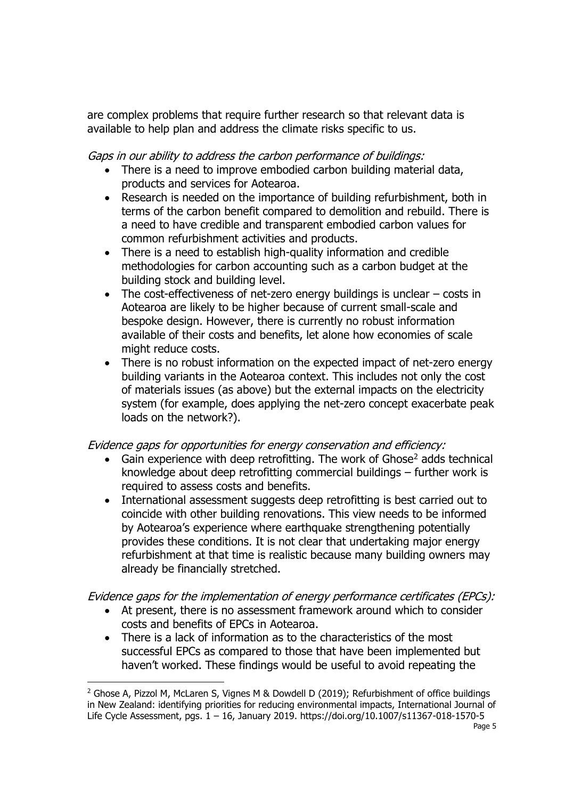are complex problems that require further research so that relevant data is available to help plan and address the climate risks specific to us.

Gaps in our ability to address the carbon performance of buildings:

- There is a need to improve embodied carbon building material data, products and services for Aotearoa.
- Research is needed on the importance of building refurbishment, both in terms of the carbon benefit compared to demolition and rebuild. There is a need to have credible and transparent embodied carbon values for common refurbishment activities and products.
- There is a need to establish high-quality information and credible methodologies for carbon accounting such as a carbon budget at the building stock and building level.
- The cost-effectiveness of net-zero energy buildings is unclear costs in Aotearoa are likely to be higher because of current small-scale and bespoke design. However, there is currently no robust information available of their costs and benefits, let alone how economies of scale might reduce costs.
- There is no robust information on the expected impact of net-zero energy building variants in the Aotearoa context. This includes not only the cost of materials issues (as above) but the external impacts on the electricity system (for example, does applying the net-zero concept exacerbate peak loads on the network?).

# Evidence gaps for opportunities for energy conservation and efficiency:

- Gain experience with deep retrofitting. The work of Ghose<sup>2</sup> adds technical knowledge about deep retrofitting commercial buildings – further work is required to assess costs and benefits.
- International assessment suggests deep retrofitting is best carried out to coincide with other building renovations. This view needs to be informed by Aotearoa's experience where earthquake strengthening potentially provides these conditions. It is not clear that undertaking major energy refurbishment at that time is realistic because many building owners may already be financially stretched.

# Evidence gaps for the implementation of energy performance certificates (EPCs):

- At present, there is no assessment framework around which to consider costs and benefits of EPCs in Aotearoa.
- There is a lack of information as to the characteristics of the most successful EPCs as compared to those that have been implemented but haven't worked. These findings would be useful to avoid repeating the

<sup>&</sup>lt;sup>2</sup> Ghose A, Pizzol M, McLaren S, Vignes M & Dowdell D (2019); Refurbishment of office buildings in New Zealand: identifying priorities for reducing environmental impacts, International Journal of Life Cycle Assessment, pgs. 1 – 16, January 2019. https://doi.org/10.1007/s11367-018-1570-5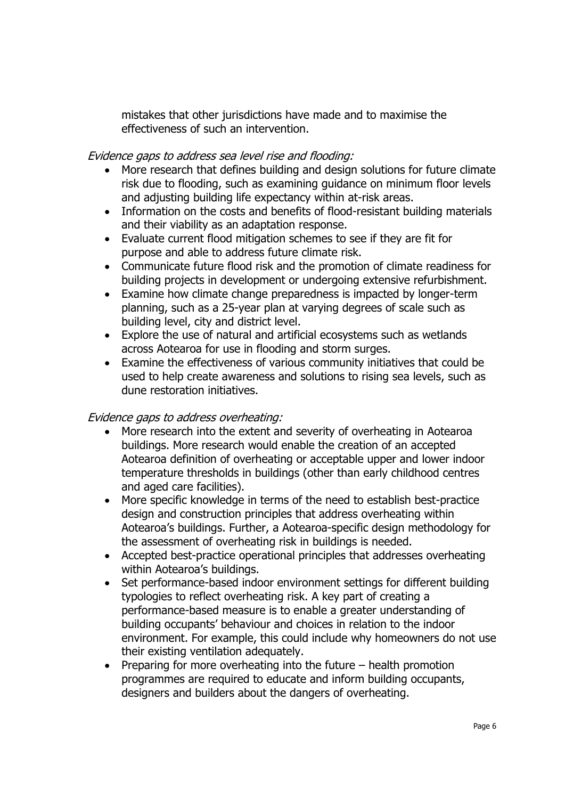mistakes that other jurisdictions have made and to maximise the effectiveness of such an intervention.

## Evidence gaps to address sea level rise and flooding:

- More research that defines building and design solutions for future climate risk due to flooding, such as examining guidance on minimum floor levels and adjusting building life expectancy within at-risk areas.
- Information on the costs and benefits of flood-resistant building materials and their viability as an adaptation response.
- Evaluate current flood mitigation schemes to see if they are fit for purpose and able to address future climate risk.
- Communicate future flood risk and the promotion of climate readiness for building projects in development or undergoing extensive refurbishment.
- Examine how climate change preparedness is impacted by longer-term planning, such as a 25-year plan at varying degrees of scale such as building level, city and district level.
- Explore the use of natural and artificial ecosystems such as wetlands across Aotearoa for use in flooding and storm surges.
- Examine the effectiveness of various community initiatives that could be used to help create awareness and solutions to rising sea levels, such as dune restoration initiatives.

## Evidence gaps to address overheating:

- More research into the extent and severity of overheating in Aotearoa buildings. More research would enable the creation of an accepted Aotearoa definition of overheating or acceptable upper and lower indoor temperature thresholds in buildings (other than early childhood centres and aged care facilities).
- More specific knowledge in terms of the need to establish best-practice design and construction principles that address overheating within Aotearoa's buildings. Further, a Aotearoa-specific design methodology for the assessment of overheating risk in buildings is needed.
- Accepted best-practice operational principles that addresses overheating within Aotearoa's buildings.
- Set performance-based indoor environment settings for different building typologies to reflect overheating risk. A key part of creating a performance-based measure is to enable a greater understanding of building occupants' behaviour and choices in relation to the indoor environment. For example, this could include why homeowners do not use their existing ventilation adequately.
- Preparing for more overheating into the future health promotion programmes are required to educate and inform building occupants, designers and builders about the dangers of overheating.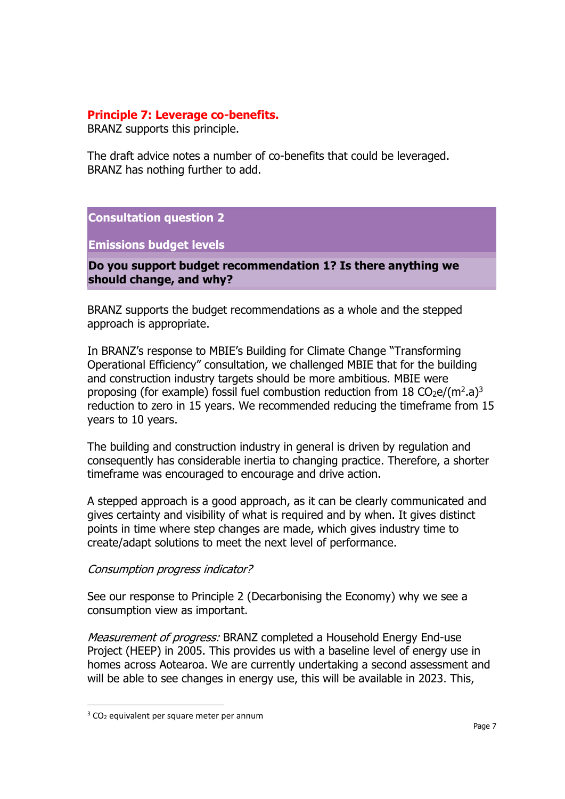## **Principle 7: Leverage co-benefits.**

BRANZ supports this principle.

The draft advice notes a number of co-benefits that could be leveraged. BRANZ has nothing further to add.

**Consultation question 2** 

**Emissions budget levels** 

**Do you support budget recommendation 1? Is there anything we should change, and why?** 

BRANZ supports the budget recommendations as a whole and the stepped approach is appropriate.

In BRANZ's response to MBIE's Building for Climate Change "Transforming Operational Efficiency" consultation, we challenged MBIE that for the building and construction industry targets should be more ambitious. MBIE were proposing (for example) fossil fuel combustion reduction from  $18 \text{ CO}_2$ e/(m<sup>2</sup>.a)<sup>3</sup> reduction to zero in 15 years. We recommended reducing the timeframe from 15 years to 10 years.

The building and construction industry in general is driven by regulation and consequently has considerable inertia to changing practice. Therefore, a shorter timeframe was encouraged to encourage and drive action.

A stepped approach is a good approach, as it can be clearly communicated and gives certainty and visibility of what is required and by when. It gives distinct points in time where step changes are made, which gives industry time to create/adapt solutions to meet the next level of performance.

## Consumption progress indicator?

See our response to Principle 2 (Decarbonising the Economy) why we see a consumption view as important.

Measurement of progress: BRANZ completed a Household Energy End-use Project (HEEP) in 2005. This provides us with a baseline level of energy use in homes across Aotearoa. We are currently undertaking a second assessment and will be able to see changes in energy use, this will be available in 2023. This,

 $3$  CO<sub>2</sub> equivalent per square meter per annum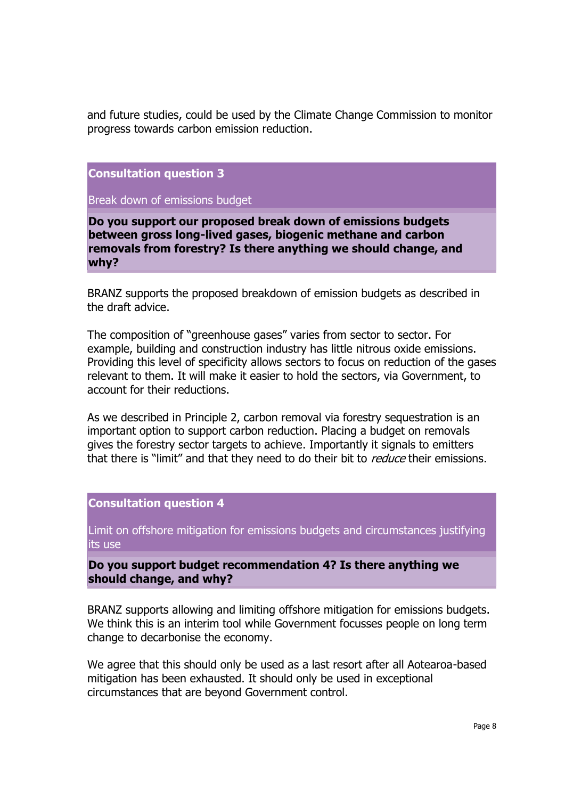and future studies, could be used by the Climate Change Commission to monitor progress towards carbon emission reduction.

**Consultation question 3** 

Break down of emissions budget

**Do you support our proposed break down of emissions budgets between gross long-lived gases, biogenic methane and carbon removals from forestry? Is there anything we should change, and why?** 

BRANZ supports the proposed breakdown of emission budgets as described in the draft advice.

The composition of "greenhouse gases" varies from sector to sector. For example, building and construction industry has little nitrous oxide emissions. Providing this level of specificity allows sectors to focus on reduction of the gases relevant to them. It will make it easier to hold the sectors, via Government, to account for their reductions.

As we described in Principle 2, carbon removal via forestry sequestration is an important option to support carbon reduction. Placing a budget on removals gives the forestry sector targets to achieve. Importantly it signals to emitters that there is "limit" and that they need to do their bit to *reduce* their emissions.

**Consultation question 4** 

Limit on offshore mitigation for emissions budgets and circumstances justifying its use

**Do you support budget recommendation 4? Is there anything we should change, and why?** 

BRANZ supports allowing and limiting offshore mitigation for emissions budgets. We think this is an interim tool while Government focusses people on long term change to decarbonise the economy.

We agree that this should only be used as a last resort after all Aotearoa-based mitigation has been exhausted. It should only be used in exceptional circumstances that are beyond Government control.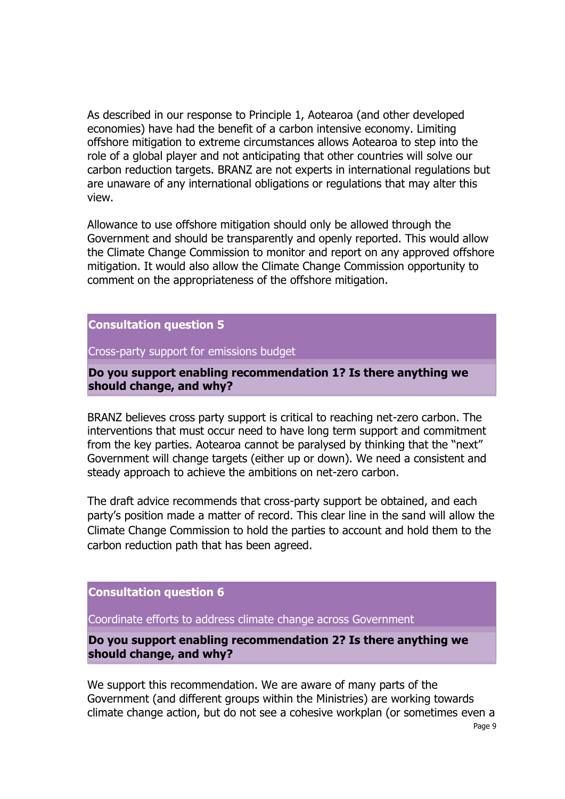As described in our response to Principle 1, Aotearoa (and other developed economies) have had the benefit of a carbon intensive economy. Limiting offshore mitigation to extreme circumstances allows Aotearoa to step into the role of a global player and not anticipating that other countries will solve our carbon reduction targets. BRANZ are not experts in international regulations but are unaware of any international obligations or regulations that may alter this view.

Allowance to use offshore mitigation should only be allowed through the Government and should be transparently and openly reported. This would allow the Climate Change Commission to monitor and report on any approved offshore mitigation. It would also allow the Climate Change Commission opportunity to comment on the appropriateness of the offshore mitigation.

**Consultation question 5** 

Cross-party support for emissions budget

**Do you support enabling recommendation 1? Is there anything we should change, and why?** 

BRANZ believes cross party support is critical to reaching net-zero carbon. The interventions that must occur need to have long term support and commitment from the key parties. Aotearoa cannot be paralysed by thinking that the "next" Government will change targets (either up or down). We need a consistent and steady approach to achieve the ambitions on net-zero carbon.

The draft advice recommends that cross-party support be obtained, and each party's position made a matter of record. This clear line in the sand will allow the Climate Change Commission to hold the parties to account and hold them to the carbon reduction path that has been agreed.

**Consultation question 6** 

Coordinate efforts to address climate change across Government

**Do you support enabling recommendation 2? Is there anything we should change, and why?** 

We support this recommendation. We are aware of many parts of the Government (and different groups within the Ministries) are working towards climate change action, but do not see a cohesive workplan (or sometimes even a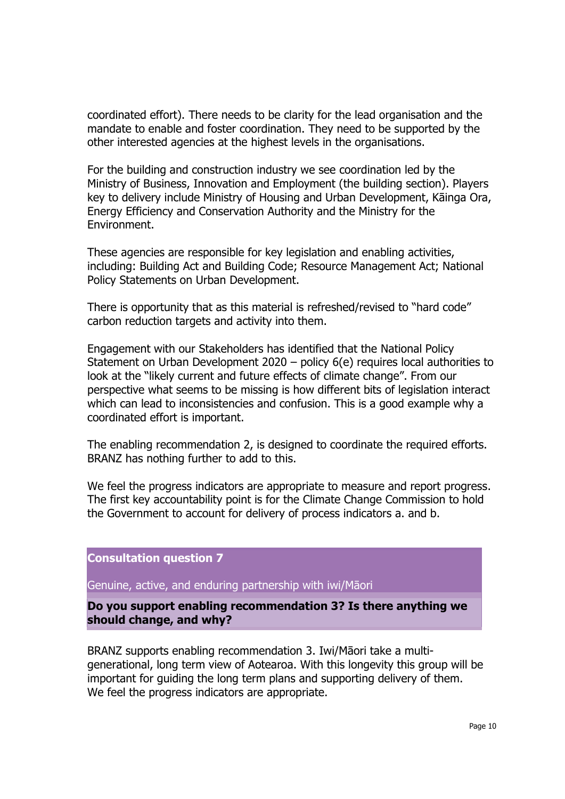coordinated effort). There needs to be clarity for the lead organisation and the mandate to enable and foster coordination. They need to be supported by the other interested agencies at the highest levels in the organisations.

For the building and construction industry we see coordination led by the Ministry of Business, Innovation and Employment (the building section). Players key to delivery include Ministry of Housing and Urban Development, Kāinga Ora, Energy Efficiency and Conservation Authority and the Ministry for the Environment.

These agencies are responsible for key legislation and enabling activities, including: Building Act and Building Code; Resource Management Act; National Policy Statements on Urban Development.

There is opportunity that as this material is refreshed/revised to "hard code" carbon reduction targets and activity into them.

Engagement with our Stakeholders has identified that the National Policy Statement on Urban Development 2020 – policy 6(e) requires local authorities to look at the "likely current and future effects of climate change". From our perspective what seems to be missing is how different bits of legislation interact which can lead to inconsistencies and confusion. This is a good example why a coordinated effort is important.

The enabling recommendation 2, is designed to coordinate the required efforts. BRANZ has nothing further to add to this.

We feel the progress indicators are appropriate to measure and report progress. The first key accountability point is for the Climate Change Commission to hold the Government to account for delivery of process indicators a. and b.

**Consultation question 7** 

Genuine, active, and enduring partnership with iwi/Māori

**Do you support enabling recommendation 3? Is there anything we should change, and why?** 

BRANZ supports enabling recommendation 3. Iwi/Māori take a multigenerational, long term view of Aotearoa. With this longevity this group will be important for guiding the long term plans and supporting delivery of them. We feel the progress indicators are appropriate.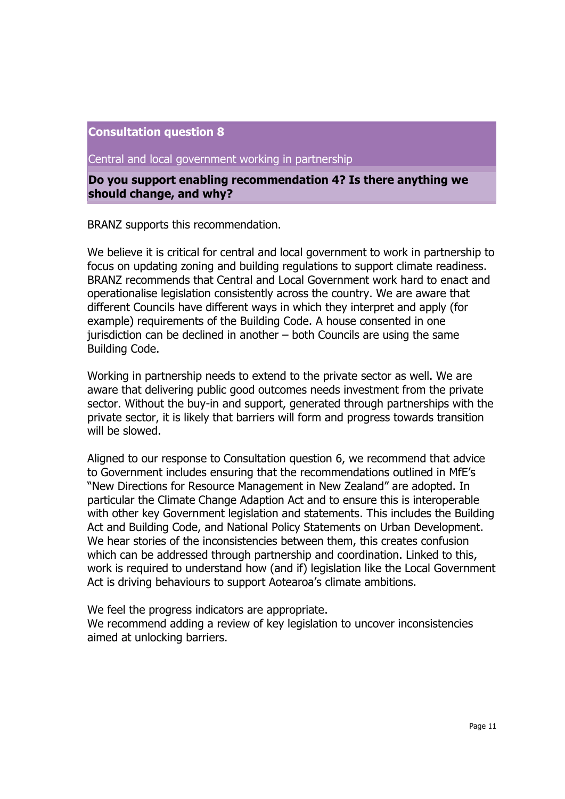Central and local government working in partnership

**Do you support enabling recommendation 4? Is there anything we should change, and why?** 

BRANZ supports this recommendation.

We believe it is critical for central and local government to work in partnership to focus on updating zoning and building regulations to support climate readiness. BRANZ recommends that Central and Local Government work hard to enact and operationalise legislation consistently across the country. We are aware that different Councils have different ways in which they interpret and apply (for example) requirements of the Building Code. A house consented in one jurisdiction can be declined in another – both Councils are using the same Building Code.

Working in partnership needs to extend to the private sector as well. We are aware that delivering public good outcomes needs investment from the private sector. Without the buy-in and support, generated through partnerships with the private sector, it is likely that barriers will form and progress towards transition will be slowed.

Aligned to our response to Consultation question 6, we recommend that advice to Government includes ensuring that the recommendations outlined in MfE's "New Directions for Resource Management in New Zealand" are adopted. In particular the Climate Change Adaption Act and to ensure this is interoperable with other key Government legislation and statements. This includes the Building Act and Building Code, and National Policy Statements on Urban Development. We hear stories of the inconsistencies between them, this creates confusion which can be addressed through partnership and coordination. Linked to this, work is required to understand how (and if) legislation like the Local Government Act is driving behaviours to support Aotearoa's climate ambitions.

We feel the progress indicators are appropriate.

We recommend adding a review of key legislation to uncover inconsistencies aimed at unlocking barriers.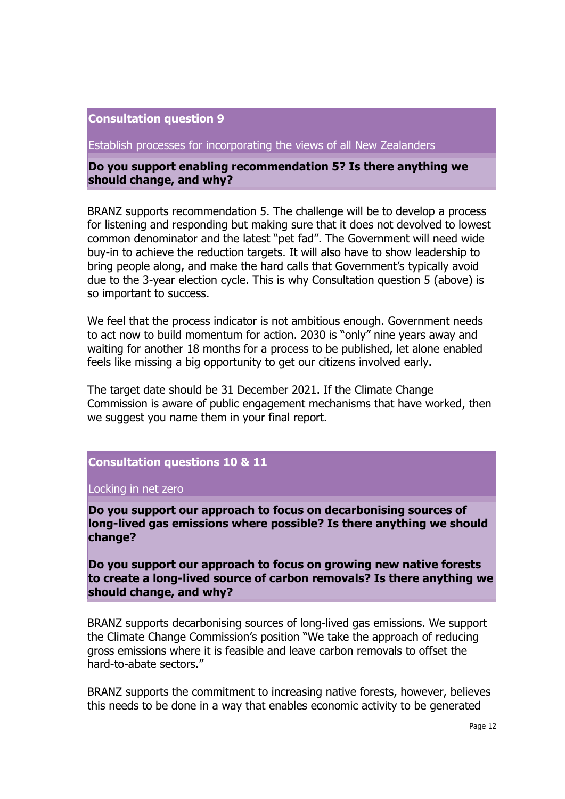Establish processes for incorporating the views of all New Zealanders

**Do you support enabling recommendation 5? Is there anything we should change, and why?** 

BRANZ supports recommendation 5. The challenge will be to develop a process for listening and responding but making sure that it does not devolved to lowest common denominator and the latest "pet fad". The Government will need wide buy-in to achieve the reduction targets. It will also have to show leadership to bring people along, and make the hard calls that Government's typically avoid due to the 3-year election cycle. This is why Consultation question 5 (above) is so important to success.

We feel that the process indicator is not ambitious enough. Government needs to act now to build momentum for action. 2030 is "only" nine years away and waiting for another 18 months for a process to be published, let alone enabled feels like missing a big opportunity to get our citizens involved early.

The target date should be 31 December 2021. If the Climate Change Commission is aware of public engagement mechanisms that have worked, then we suggest you name them in your final report.

# **Consultation questions 10 & 11**

Locking in net zero

**Do you support our approach to focus on decarbonising sources of long-lived gas emissions where possible? Is there anything we should change?** 

**Do you support our approach to focus on growing new native forests to create a long-lived source of carbon removals? Is there anything we should change, and why?** 

BRANZ supports decarbonising sources of long-lived gas emissions. We support the Climate Change Commission's position "We take the approach of reducing gross emissions where it is feasible and leave carbon removals to offset the hard-to-abate sectors."

BRANZ supports the commitment to increasing native forests, however, believes this needs to be done in a way that enables economic activity to be generated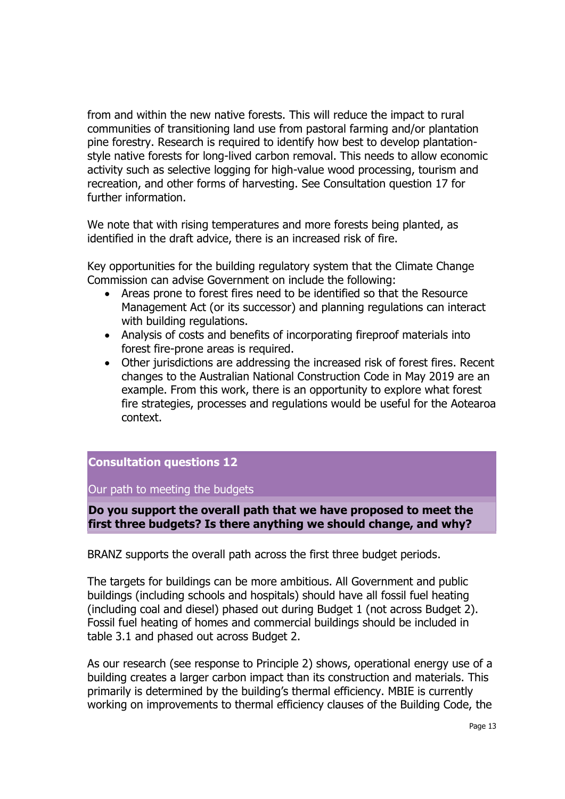from and within the new native forests. This will reduce the impact to rural communities of transitioning land use from pastoral farming and/or plantation pine forestry. Research is required to identify how best to develop plantationstyle native forests for long-lived carbon removal. This needs to allow economic activity such as selective logging for high-value wood processing, tourism and recreation, and other forms of harvesting. See Consultation question 17 for further information.

We note that with rising temperatures and more forests being planted, as identified in the draft advice, there is an increased risk of fire.

Key opportunities for the building regulatory system that the Climate Change Commission can advise Government on include the following:

- Areas prone to forest fires need to be identified so that the Resource Management Act (or its successor) and planning regulations can interact with building regulations.
- Analysis of costs and benefits of incorporating fireproof materials into forest fire-prone areas is required.
- Other jurisdictions are addressing the increased risk of forest fires. Recent changes to the Australian National Construction Code in May 2019 are an example. From this work, there is an opportunity to explore what forest fire strategies, processes and regulations would be useful for the Aotearoa context.

# **Consultation questions 12**

Our path to meeting the budgets

## **Do you support the overall path that we have proposed to meet the first three budgets? Is there anything we should change, and why?**

BRANZ supports the overall path across the first three budget periods.

The targets for buildings can be more ambitious. All Government and public buildings (including schools and hospitals) should have all fossil fuel heating (including coal and diesel) phased out during Budget 1 (not across Budget 2). Fossil fuel heating of homes and commercial buildings should be included in table 3.1 and phased out across Budget 2.

As our research (see response to Principle 2) shows, operational energy use of a building creates a larger carbon impact than its construction and materials. This primarily is determined by the building's thermal efficiency. MBIE is currently working on improvements to thermal efficiency clauses of the Building Code, the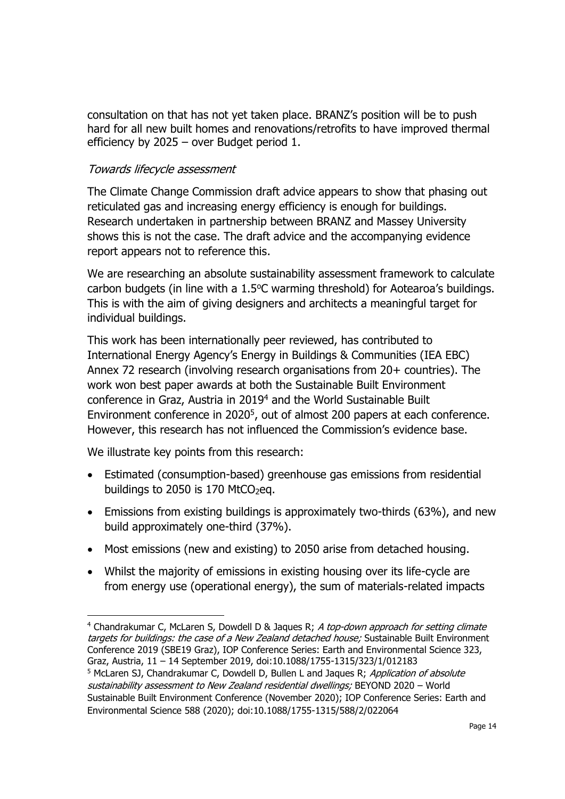consultation on that has not yet taken place. BRANZ's position will be to push hard for all new built homes and renovations/retrofits to have improved thermal efficiency by 2025 – over Budget period 1.

# Towards lifecycle assessment

The Climate Change Commission draft advice appears to show that phasing out reticulated gas and increasing energy efficiency is enough for buildings. Research undertaken in partnership between BRANZ and Massey University shows this is not the case. The draft advice and the accompanying evidence report appears not to reference this.

We are researching an absolute sustainability assessment framework to calculate carbon budgets (in line with a  $1.5^{\circ}$ C warming threshold) for Aotearoa's buildings. This is with the aim of giving designers and architects a meaningful target for individual buildings.

This work has been internationally peer reviewed, has contributed to International Energy Agency's Energy in Buildings & Communities (IEA EBC) Annex 72 research (involving research organisations from 20+ countries). The work won best paper awards at both the Sustainable Built Environment conference in Graz, Austria in 2019<sup>4</sup> and the World Sustainable Built Environment conference in 2020<sup>5</sup>, out of almost 200 papers at each conference. However, this research has not influenced the Commission's evidence base.

We illustrate key points from this research:

- Estimated (consumption-based) greenhouse gas emissions from residential buildings to 2050 is 170 MtCO $_2$ eq.
- Emissions from existing buildings is approximately two-thirds (63%), and new build approximately one-third (37%).
- Most emissions (new and existing) to 2050 arise from detached housing.
- Whilst the majority of emissions in existing housing over its life-cycle are from energy use (operational energy), the sum of materials-related impacts

<sup>&</sup>lt;sup>4</sup> Chandrakumar C, McLaren S, Dowdell D & Jaques R; A top-down approach for setting climate targets for buildings: the case of a New Zealand detached house; Sustainable Built Environment Conference 2019 (SBE19 Graz), IOP Conference Series: Earth and Environmental Science 323, Graz, Austria, 11 – 14 September 2019, doi:10.1088/1755-1315/323/1/012183

<sup>&</sup>lt;sup>5</sup> McLaren SJ, Chandrakumar C, Dowdell D, Bullen L and Jaques R; Application of absolute sustainability assessment to New Zealand residential dwellings; BEYOND 2020 – World Sustainable Built Environment Conference (November 2020); IOP Conference Series: Earth and Environmental Science 588 (2020); doi:10.1088/1755-1315/588/2/022064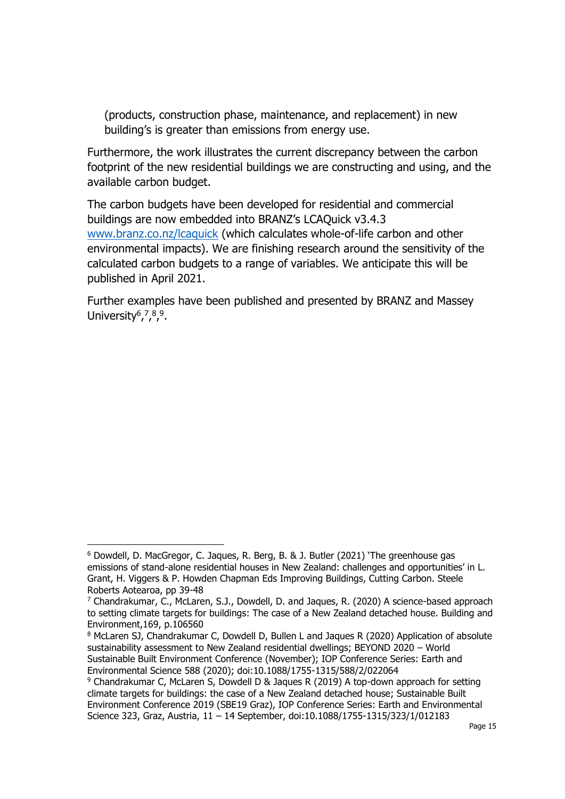(products, construction phase, maintenance, and replacement) in new building's is greater than emissions from energy use.

Furthermore, the work illustrates the current discrepancy between the carbon footprint of the new residential buildings we are constructing and using, and the available carbon budget.

The carbon budgets have been developed for residential and commercial buildings are now embedded into BRANZ's LCAQuick v3.4.3 [www.branz.co.nz/lcaquick](http://www.branz.co.nz/lcaquick) (which calculates whole-of-life carbon and other environmental impacts). We are finishing research around the sensitivity of the calculated carbon budgets to a range of variables. We anticipate this will be published in April 2021.

Further examples have been published and presented by BRANZ and Massey University<sup>6</sup>,<sup>7,8,9</sup>.

<sup>6</sup> Dowdell, D. MacGregor, C. Jaques, R. Berg, B. & J. Butler (2021) 'The greenhouse gas emissions of stand-alone residential houses in New Zealand: challenges and opportunities' in L. Grant, H. Viggers & P. Howden Chapman Eds Improving Buildings, Cutting Carbon. Steele Roberts Aotearoa, pp 39-48

 $7$  Chandrakumar, C., McLaren, S.J., Dowdell, D. and Jaques, R. (2020) A science-based approach to setting climate targets for buildings: The case of a New Zealand detached house. Building and Environment,169, p.106560

<sup>&</sup>lt;sup>8</sup> McLaren SJ, Chandrakumar C, Dowdell D, Bullen L and Jaques R (2020) Application of absolute sustainability assessment to New Zealand residential dwellings; BEYOND 2020 – World Sustainable Built Environment Conference (November); IOP Conference Series: Earth and Environmental Science 588 (2020); doi:10.1088/1755-1315/588/2/022064

<sup>9</sup> Chandrakumar C, McLaren S, Dowdell D & Jaques R (2019) A top-down approach for setting climate targets for buildings: the case of a New Zealand detached house; Sustainable Built Environment Conference 2019 (SBE19 Graz), IOP Conference Series: Earth and Environmental Science 323, Graz, Austria, 11 – 14 September, doi:10.1088/1755-1315/323/1/012183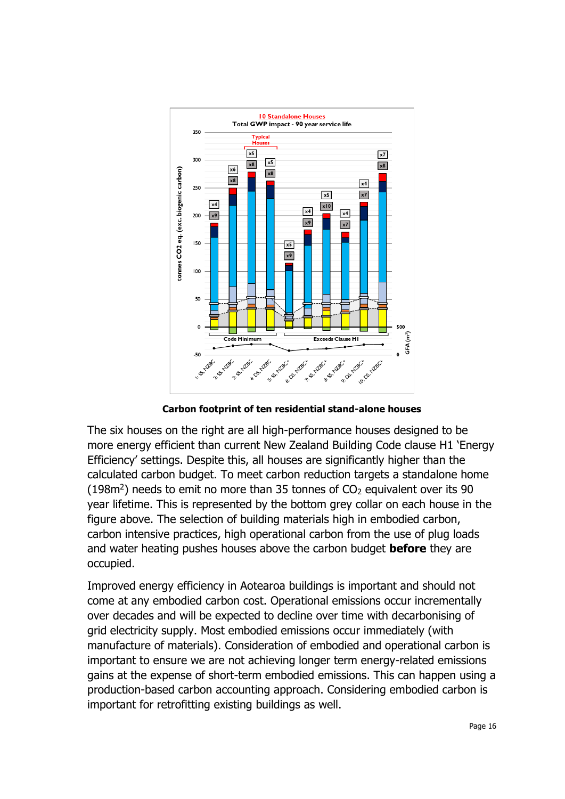

**Carbon footprint of ten residential stand-alone houses**

The six houses on the right are all high-performance houses designed to be more energy efficient than current New Zealand Building Code clause H1 'Energy Efficiency' settings. Despite this, all houses are significantly higher than the calculated carbon budget. To meet carbon reduction targets a standalone home  $(198m<sup>2</sup>)$  needs to emit no more than 35 tonnes of CO<sub>2</sub> equivalent over its 90 year lifetime. This is represented by the bottom grey collar on each house in the figure above. The selection of building materials high in embodied carbon, carbon intensive practices, high operational carbon from the use of plug loads and water heating pushes houses above the carbon budget **before** they are occupied.

Improved energy efficiency in Aotearoa buildings is important and should not come at any embodied carbon cost. Operational emissions occur incrementally over decades and will be expected to decline over time with decarbonising of grid electricity supply. Most embodied emissions occur immediately (with manufacture of materials). Consideration of embodied and operational carbon is important to ensure we are not achieving longer term energy-related emissions gains at the expense of short-term embodied emissions. This can happen using a production-based carbon accounting approach. Considering embodied carbon is important for retrofitting existing buildings as well.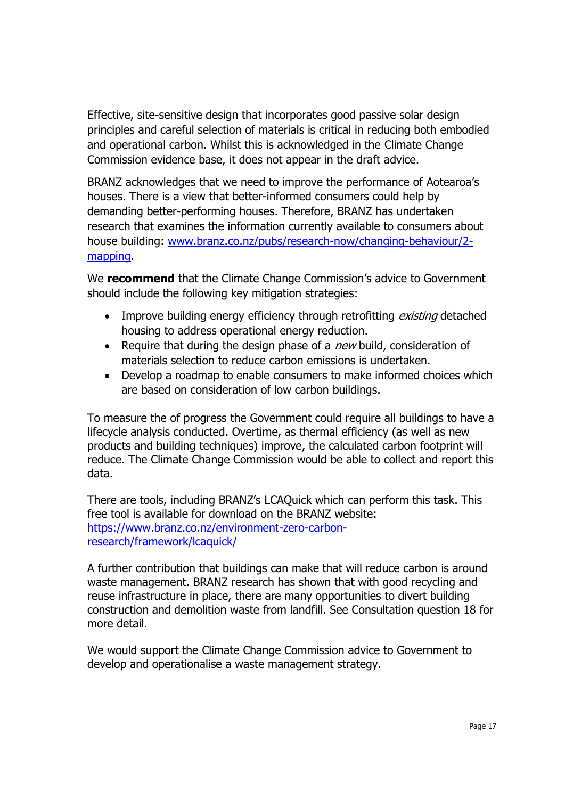Effective, site-sensitive design that incorporates good passive solar design principles and careful selection of materials is critical in reducing both embodied and operational carbon. Whilst this is acknowledged in the Climate Change Commission evidence base, it does not appear in the draft advice.

BRANZ acknowledges that we need to improve the performance of Aotearoa's houses. There is a view that better-informed consumers could help by demanding better-performing houses. Therefore, BRANZ has undertaken research that examines the information currently available to consumers about house building: [www.branz.co.nz/pubs/research-now/changing-behaviour/2](http://www.branz.co.nz/pubs/research-now/changing-behaviour/2-mapping) [mapping.](http://www.branz.co.nz/pubs/research-now/changing-behaviour/2-mapping)

We **recommend** that the Climate Change Commission's advice to Government should include the following key mitigation strategies:

- Improve building energy efficiency through retrofitting existing detached housing to address operational energy reduction.
- Require that during the design phase of a  $new$  build, consideration of materials selection to reduce carbon emissions is undertaken.
- Develop a roadmap to enable consumers to make informed choices which are based on consideration of low carbon buildings.

To measure the of progress the Government could require all buildings to have a lifecycle analysis conducted. Overtime, as thermal efficiency (as well as new products and building techniques) improve, the calculated carbon footprint will reduce. The Climate Change Commission would be able to collect and report this data.

There are tools, including BRANZ's LCAQuick which can perform this task. This free tool is available for download on the BRANZ website: [https://www.branz.co.nz/environment-zero-carbon](https://www.branz.co.nz/environment-zero-carbon-research/framework/lcaquick/)[research/framework/lcaquick/](https://www.branz.co.nz/environment-zero-carbon-research/framework/lcaquick/)

A further contribution that buildings can make that will reduce carbon is around waste management. BRANZ research has shown that with good recycling and reuse infrastructure in place, there are many opportunities to divert building construction and demolition waste from landfill. See Consultation question 18 for more detail.

We would support the Climate Change Commission advice to Government to develop and operationalise a waste management strategy.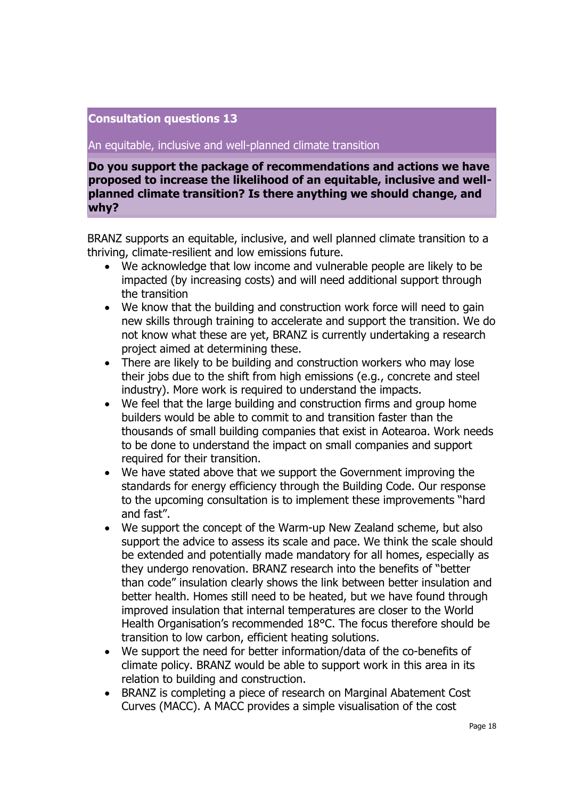An equitable, inclusive and well-planned climate transition

**Do you support the package of recommendations and actions we have proposed to increase the likelihood of an equitable, inclusive and wellplanned climate transition? Is there anything we should change, and why?** 

BRANZ supports an equitable, inclusive, and well planned climate transition to a thriving, climate-resilient and low emissions future.

- We acknowledge that low income and vulnerable people are likely to be impacted (by increasing costs) and will need additional support through the transition
- We know that the building and construction work force will need to gain new skills through training to accelerate and support the transition. We do not know what these are yet, BRANZ is currently undertaking a research project aimed at determining these.
- There are likely to be building and construction workers who may lose their jobs due to the shift from high emissions (e.g., concrete and steel industry). More work is required to understand the impacts.
- We feel that the large building and construction firms and group home builders would be able to commit to and transition faster than the thousands of small building companies that exist in Aotearoa. Work needs to be done to understand the impact on small companies and support required for their transition.
- We have stated above that we support the Government improving the standards for energy efficiency through the Building Code. Our response to the upcoming consultation is to implement these improvements "hard and fast".
- We support the concept of the Warm-up New Zealand scheme, but also support the advice to assess its scale and pace. We think the scale should be extended and potentially made mandatory for all homes, especially as they undergo renovation. BRANZ research into the benefits of "better than code" insulation clearly shows the link between better insulation and better health. Homes still need to be heated, but we have found through improved insulation that internal temperatures are closer to the World Health Organisation's recommended 18°C. The focus therefore should be transition to low carbon, efficient heating solutions.
- We support the need for better information/data of the co-benefits of climate policy. BRANZ would be able to support work in this area in its relation to building and construction.
- BRANZ is completing a piece of research on Marginal Abatement Cost Curves (MACC). A MACC provides a simple visualisation of the cost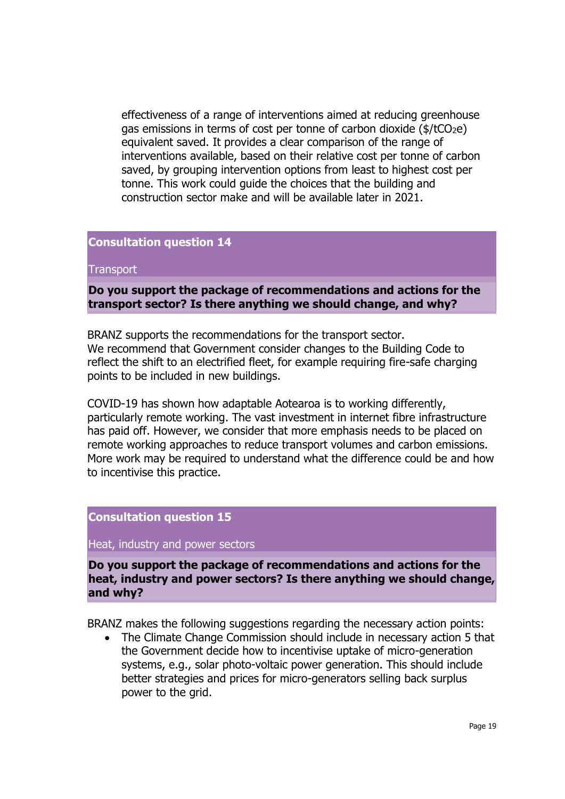effectiveness of a range of interventions aimed at reducing greenhouse gas emissions in terms of cost per tonne of carbon dioxide  $(\frac{4}{\epsilon}\text{CO}_{2e})$ equivalent saved. It provides a clear comparison of the range of interventions available, based on their relative cost per tonne of carbon saved, by grouping intervention options from least to highest cost per tonne. This work could guide the choices that the building and construction sector make and will be available later in 2021.

### **Consultation question 14**

#### **Transport**

## **Do you support the package of recommendations and actions for the transport sector? Is there anything we should change, and why?**

BRANZ supports the recommendations for the transport sector. We recommend that Government consider changes to the Building Code to reflect the shift to an electrified fleet, for example requiring fire-safe charging points to be included in new buildings.

COVID-19 has shown how adaptable Aotearoa is to working differently, particularly remote working. The vast investment in internet fibre infrastructure has paid off. However, we consider that more emphasis needs to be placed on remote working approaches to reduce transport volumes and carbon emissions. More work may be required to understand what the difference could be and how to incentivise this practice.

### **Consultation question 15**

Heat, industry and power sectors

**Do you support the package of recommendations and actions for the heat, industry and power sectors? Is there anything we should change, and why?** 

BRANZ makes the following suggestions regarding the necessary action points:

• The Climate Change Commission should include in necessary action 5 that the Government decide how to incentivise uptake of micro-generation systems, e.g., solar photo-voltaic power generation. This should include better strategies and prices for micro-generators selling back surplus power to the grid.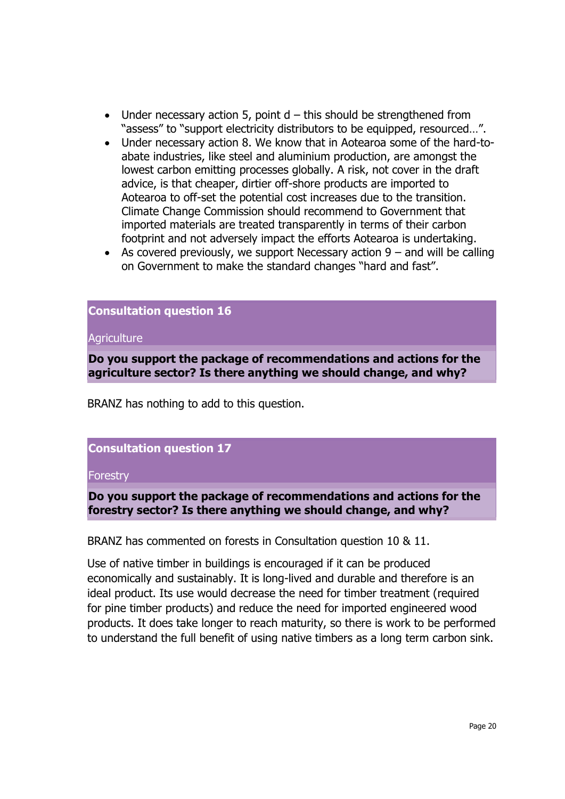- Under necessary action 5, point  $d th$  is should be strengthened from "assess" to "support electricity distributors to be equipped, resourced…".
- Under necessary action 8. We know that in Aotearoa some of the hard-toabate industries, like steel and aluminium production, are amongst the lowest carbon emitting processes globally. A risk, not cover in the draft advice, is that cheaper, dirtier off-shore products are imported to Aotearoa to off-set the potential cost increases due to the transition. Climate Change Commission should recommend to Government that imported materials are treated transparently in terms of their carbon footprint and not adversely impact the efforts Aotearoa is undertaking.
- As covered previously, we support Necessary action  $9 -$  and will be calling on Government to make the standard changes "hard and fast".

#### **Agriculture**

**Do you support the package of recommendations and actions for the agriculture sector? Is there anything we should change, and why?** 

BRANZ has nothing to add to this question.

## **Consultation question 17**

### **Forestry**

**Do you support the package of recommendations and actions for the forestry sector? Is there anything we should change, and why?** 

BRANZ has commented on forests in Consultation question 10 & 11.

Use of native timber in buildings is encouraged if it can be produced economically and sustainably. It is long-lived and durable and therefore is an ideal product. Its use would decrease the need for timber treatment (required for pine timber products) and reduce the need for imported engineered wood products. It does take longer to reach maturity, so there is work to be performed to understand the full benefit of using native timbers as a long term carbon sink.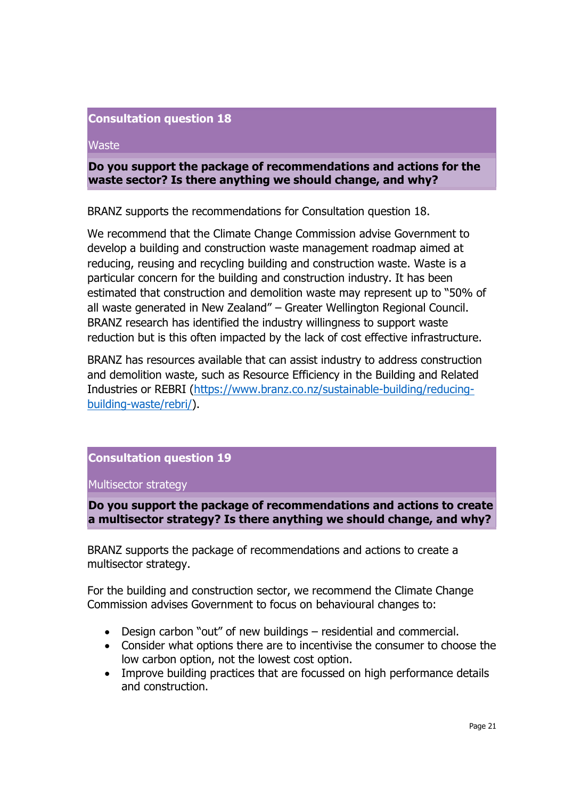#### **Waste**

## **Do you support the package of recommendations and actions for the waste sector? Is there anything we should change, and why?**

BRANZ supports the recommendations for Consultation question 18.

We recommend that the Climate Change Commission advise Government to develop a building and construction waste management roadmap aimed at reducing, reusing and recycling building and construction waste. Waste is a particular concern for the building and construction industry. It has been estimated that construction and demolition waste may represent up to "50% of all waste generated in New Zealand" – Greater Wellington Regional Council. BRANZ research has identified the industry willingness to support waste reduction but is this often impacted by the lack of cost effective infrastructure.

BRANZ has resources available that can assist industry to address construction and demolition waste, such as Resource Efficiency in the Building and Related Industries or REBRI [\(https://www.branz.co.nz/sustainable-building/reducing](https://www.branz.co.nz/sustainable-building/reducing-building-waste/rebri/)[building-waste/rebri/\)](https://www.branz.co.nz/sustainable-building/reducing-building-waste/rebri/).

# **Consultation question 19**

Multisector strategy

# **Do you support the package of recommendations and actions to create a multisector strategy? Is there anything we should change, and why?**

BRANZ supports the package of recommendations and actions to create a multisector strategy.

For the building and construction sector, we recommend the Climate Change Commission advises Government to focus on behavioural changes to:

- Design carbon "out" of new buildings residential and commercial.
- Consider what options there are to incentivise the consumer to choose the low carbon option, not the lowest cost option.
- Improve building practices that are focussed on high performance details and construction.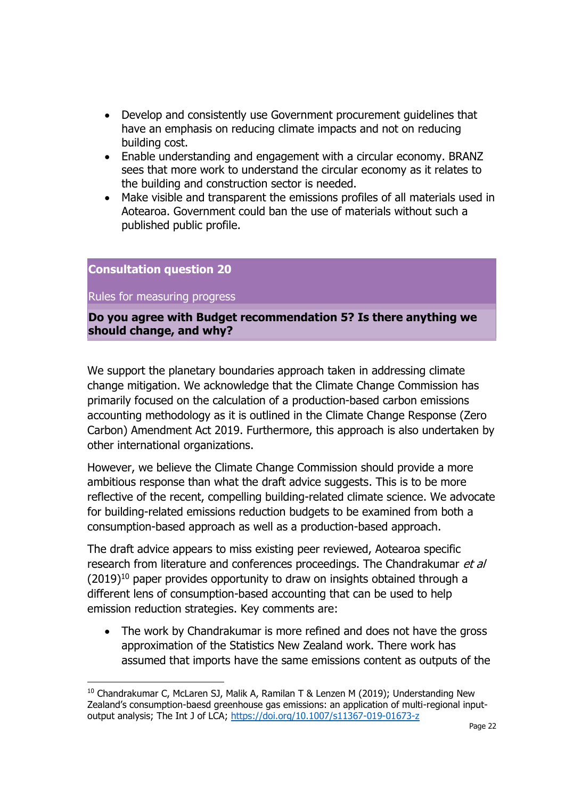- Develop and consistently use Government procurement guidelines that have an emphasis on reducing climate impacts and not on reducing building cost.
- Enable understanding and engagement with a circular economy. BRANZ sees that more work to understand the circular economy as it relates to the building and construction sector is needed.
- Make visible and transparent the emissions profiles of all materials used in Aotearoa. Government could ban the use of materials without such a published public profile.

Rules for measuring progress

**Do you agree with Budget recommendation 5? Is there anything we should change, and why?** 

We support the planetary boundaries approach taken in addressing climate change mitigation. We acknowledge that the Climate Change Commission has primarily focused on the calculation of a production-based carbon emissions accounting methodology as it is outlined in the Climate Change Response (Zero Carbon) Amendment Act 2019. Furthermore, this approach is also undertaken by other international organizations.

However, we believe the Climate Change Commission should provide a more ambitious response than what the draft advice suggests. This is to be more reflective of the recent, compelling building-related climate science. We advocate for building-related emissions reduction budgets to be examined from both a consumption-based approach as well as a production-based approach.

The draft advice appears to miss existing peer reviewed, Aotearoa specific research from literature and conferences proceedings. The Chandrakumar et al  $(2019)^{10}$  paper provides opportunity to draw on insights obtained through a different lens of consumption-based accounting that can be used to help emission reduction strategies. Key comments are:

• The work by Chandrakumar is more refined and does not have the gross approximation of the Statistics New Zealand work. There work has assumed that imports have the same emissions content as outputs of the

 $10$  Chandrakumar C, McLaren SJ, Malik A, Ramilan T & Lenzen M (2019); Understanding New Zealand's consumption-baesd greenhouse gas emissions: an application of multi-regional inputoutput analysis; The Int J of LCA;<https://doi.org/10.1007/s11367-019-01673-z>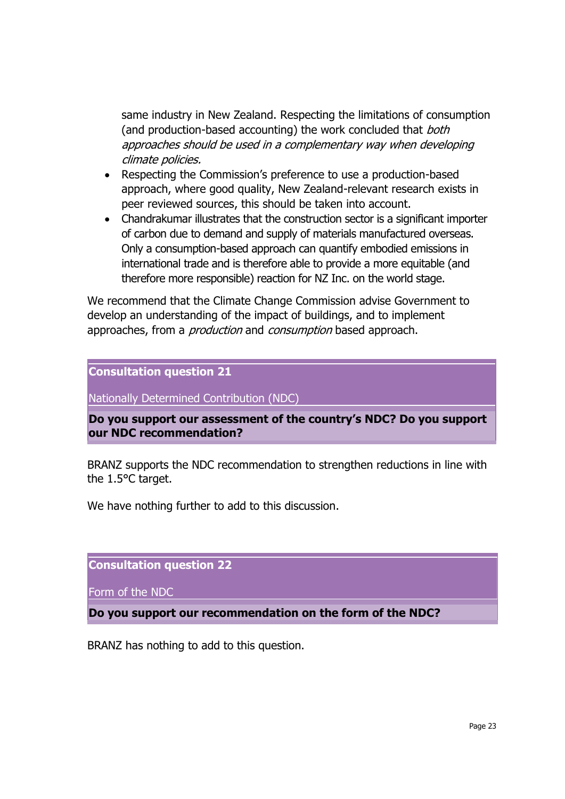same industry in New Zealand. Respecting the limitations of consumption (and production-based accounting) the work concluded that both approaches should be used in a complementary way when developing climate policies.

- Respecting the Commission's preference to use a production-based approach, where good quality, New Zealand-relevant research exists in peer reviewed sources, this should be taken into account.
- Chandrakumar illustrates that the construction sector is a significant importer of carbon due to demand and supply of materials manufactured overseas. Only a consumption-based approach can quantify embodied emissions in international trade and is therefore able to provide a more equitable (and therefore more responsible) reaction for NZ Inc. on the world stage.

We recommend that the Climate Change Commission advise Government to develop an understanding of the impact of buildings, and to implement approaches, from a *production* and *consumption* based approach.

**Consultation question 21**

Nationally Determined Contribution (NDC)

**Do you support our assessment of the country's NDC? Do you support our NDC recommendation?** 

BRANZ supports the NDC recommendation to strengthen reductions in line with the 1.5°C target.

We have nothing further to add to this discussion.

**Consultation question 22**

Form of the NDC

**Do you support our recommendation on the form of the NDC?** 

BRANZ has nothing to add to this question.